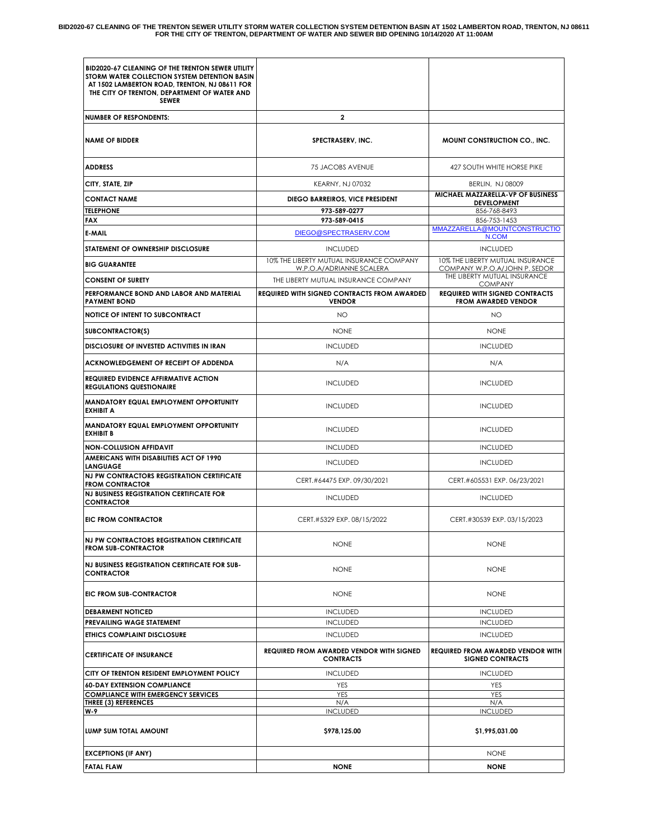BID2020-67 CLEANING OF THE TRENTON SEWER UTILITY STORM WATER COLLECTION SYSTEM DETENTION BASIN AT 1502 LAMBERTON ROAD, TRENTON, NJ 08611<br>FOR THE CITY OF TRENTON, DEPARTMENT OF WATER AND SEWER BID OPENING 10/14/2020 AT 11:0

| BID2020-67 CLEANING OF THE TRENTON SEWER UTILITY<br>STORM WATER COLLECTION SYSTEM DETENTION BASIN<br>AT 1502 LAMBERTON ROAD, TRENTON, NJ 08611 FOR<br>THE CITY OF TRENTON, DEPARTMENT OF WATER AND<br><b>SEWER</b> |                                                                      |                                                                                         |
|--------------------------------------------------------------------------------------------------------------------------------------------------------------------------------------------------------------------|----------------------------------------------------------------------|-----------------------------------------------------------------------------------------|
| <b>NUMBER OF RESPONDENTS:</b>                                                                                                                                                                                      | $\mathbf{2}$                                                         |                                                                                         |
| <b>NAME OF BIDDER</b>                                                                                                                                                                                              | SPECTRASERV, INC.                                                    | MOUNT CONSTRUCTION CO., INC.                                                            |
| <b>ADDRESS</b>                                                                                                                                                                                                     | 75 JACOBS AVENUE                                                     | 427 SOUTH WHITE HORSE PIKE                                                              |
| CITY, STATE, ZIP                                                                                                                                                                                                   | <b>KEARNY, NJ 07032</b>                                              | <b>BERLIN, NJ 08009</b>                                                                 |
| <b>CONTACT NAME</b><br><b>TELEPHONE</b><br><b>FAX</b>                                                                                                                                                              | DIEGO BARREIROS, VICE PRESIDENT<br>973-589-0277<br>973-589-0415      | MICHAEL MAZZARELLA-VP OF BUSINESS<br><b>DEVELOPMENT</b><br>856-768-8493<br>856-753-1453 |
| E-MAIL                                                                                                                                                                                                             | DIEGO@SPECTRASERV.COM                                                | MMAZZARELLA@MOUNTCONSTRUCTIO<br>N.COM                                                   |
| STATEMENT OF OWNERSHIP DISCLOSURE                                                                                                                                                                                  | <b>INCLUDED</b>                                                      | <b>INCLUDED</b>                                                                         |
| <b>BIG GUARANTEE</b>                                                                                                                                                                                               | 10% THE LIBERTY MUTUAL INSURANCE COMPANY<br>W.P.O.A/ADRIANNE SCALERA | 10% THE LIBERTY MUTUAL INSURANCE<br>COMPANY W.P.O.A/JOHN P. SEDOR                       |
| <b>CONSENT OF SURETY</b>                                                                                                                                                                                           | THE LIBERTY MUTUAL INSURANCE COMPANY                                 | THE LIBERTY MUTUAL INSURANCE<br><b>COMPANY</b>                                          |
| PERFORMANCE BOND AND LABOR AND MATERIAL<br><b>PAYMENT BOND</b>                                                                                                                                                     | <b>REQUIRED WITH SIGNED CONTRACTS FROM AWARDED</b><br><b>VENDOR</b>  | <b>REQUIRED WITH SIGNED CONTRACTS</b><br><b>FROM AWARDED VENDOR</b>                     |
| <b>NOTICE OF INTENT TO SUBCONTRACT</b>                                                                                                                                                                             | <b>NO</b>                                                            | <b>NO</b>                                                                               |
| SUBCONTRACTOR(S)                                                                                                                                                                                                   | <b>NONE</b>                                                          | <b>NONE</b>                                                                             |
| DISCLOSURE OF INVESTED ACTIVITIES IN IRAN                                                                                                                                                                          | <b>INCLUDED</b>                                                      | <b>INCLUDED</b>                                                                         |
| ACKNOWLEDGEMENT OF RECEIPT OF ADDENDA                                                                                                                                                                              | N/A                                                                  | N/A                                                                                     |
| <b>REQUIRED EVIDENCE AFFIRMATIVE ACTION</b><br><b>REGULATIONS QUESTIONAIRE</b>                                                                                                                                     | <b>INCLUDED</b>                                                      | <b>INCLUDED</b>                                                                         |
| <b>MANDATORY EQUAL EMPLOYMENT OPPORTUNITY</b><br><b>EXHIBIT A</b>                                                                                                                                                  | <b>INCLUDED</b>                                                      | <b>INCLUDED</b>                                                                         |
| <b>MANDATORY EQUAL EMPLOYMENT OPPORTUNITY</b><br><b>EXHIBIT B</b>                                                                                                                                                  | <b>INCLUDED</b>                                                      | <b>INCLUDED</b>                                                                         |
| <b>NON-COLLUSION AFFIDAVIT</b>                                                                                                                                                                                     | <b>INCLUDED</b>                                                      | <b>INCLUDED</b>                                                                         |
| AMERICANS WITH DISABILITIES ACT OF 1990<br><b>LANGUAGE</b>                                                                                                                                                         | <b>INCLUDED</b>                                                      | <b>INCLUDED</b>                                                                         |
| NJ PW CONTRACTORS REGISTRATION CERTIFICATE<br><b>FROM CONTRACTOR</b>                                                                                                                                               | CERT.#64475 EXP. 09/30/2021                                          | CERT.#605531 EXP. 06/23/2021                                                            |
| <b>NJ BUSINESS REGISTRATION CERTIFICATE FOR</b><br><b>CONTRACTOR</b>                                                                                                                                               | <b>INCLUDED</b>                                                      | <b>INCLUDED</b>                                                                         |
| <b>EIC FROM CONTRACTOR</b>                                                                                                                                                                                         | CERT.#5329 EXP. 08/15/2022                                           | CERT.#30539 EXP. 03/15/2023                                                             |
| NJ PW CONTRACTORS REGISTRATION CERTIFICATE<br><b>FROM SUB-CONTRACTOR</b>                                                                                                                                           | <b>NONE</b>                                                          | <b>NONE</b>                                                                             |
| NJ BUSINESS REGISTRATION CERTIFICATE FOR SUB-<br><b>CONTRACTOR</b>                                                                                                                                                 | <b>NONE</b>                                                          | <b>NONE</b>                                                                             |
| EIC FROM SUB-CONTRACTOR                                                                                                                                                                                            | <b>NONE</b>                                                          | <b>NONE</b>                                                                             |
| <b>DEBARMENT NOTICED</b>                                                                                                                                                                                           | <b>INCLUDED</b>                                                      | <b>INCLUDED</b>                                                                         |
| <b>PREVAILING WAGE STATEMENT</b><br>ETHICS COMPLAINT DISCLOSURE                                                                                                                                                    | <b>INCLUDED</b><br><b>INCLUDED</b>                                   | <b>INCLUDED</b><br><b>INCLUDED</b>                                                      |
|                                                                                                                                                                                                                    | <b>REQUIRED FROM AWARDED VENDOR WITH SIGNED</b>                      | <b>REQUIRED FROM AWARDED VENDOR WITH</b>                                                |
| <b>CERTIFICATE OF INSURANCE</b>                                                                                                                                                                                    | <b>CONTRACTS</b>                                                     | <b>SIGNED CONTRACTS</b>                                                                 |
| CITY OF TRENTON RESIDENT EMPLOYMENT POLICY                                                                                                                                                                         | <b>INCLUDED</b>                                                      | <b>INCLUDED</b>                                                                         |
| <b>60-DAY EXTENSION COMPLIANCE</b><br><b>COMPLIANCE WITH EMERGENCY SERVICES</b>                                                                                                                                    | YES<br><b>YES</b>                                                    | YES<br>YES                                                                              |
| <b>THREE (3) REFERENCES</b><br>W-9                                                                                                                                                                                 | N/A<br><b>INCLUDED</b>                                               | N/A<br><b>INCLUDED</b>                                                                  |
| LUMP SUM TOTAL AMOUNT                                                                                                                                                                                              | \$978,125.00                                                         | \$1,995,031.00                                                                          |
| <b>EXCEPTIONS (IF ANY)</b>                                                                                                                                                                                         |                                                                      | <b>NONE</b>                                                                             |
| <b>FATAL FLAW</b>                                                                                                                                                                                                  | <b>NONE</b>                                                          | <b>NONE</b>                                                                             |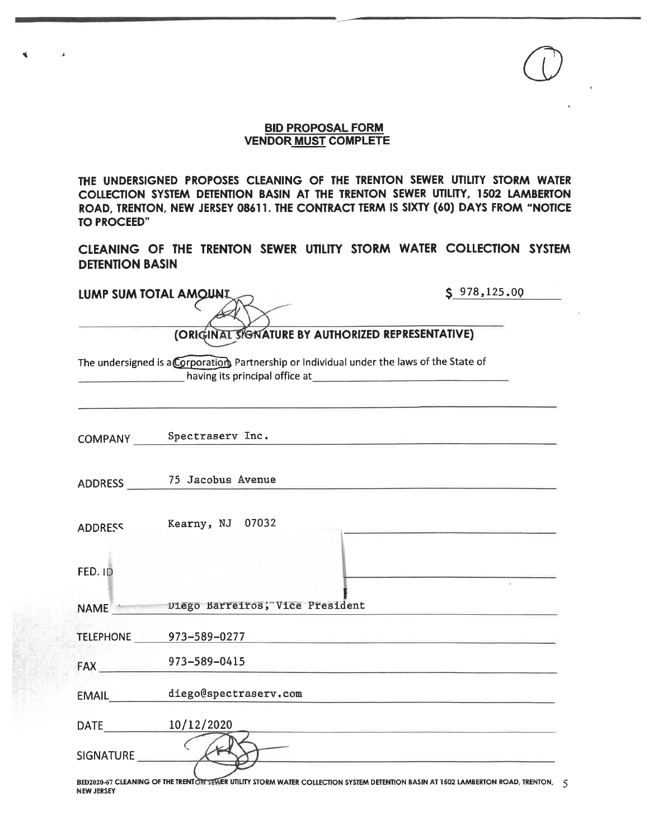## **BID PROPOSAL FORM VENDOR MUST COMPLETE**

THE UNDERSIGNED PROPOSES CLEANING OF THE TRENTON SEWER UTILITY STORM WATER COLLECTION SYSTEM DETENTION BASIN AT THE TRENTON SEWER UTILITY, 1502 LAMBERTON ROAD, TRENTON, NEW JERSEY 08611. THE CONTRACT TERM IS SIXTY (60) DAYS FROM "NOTICE **TO PROCEED"** 

CLEANING OF THE TRENTON SEWER UTILITY STORM WATER COLLECTION SYSTEM **DETENTION BASIN** 

| LUMP SUM TOTAL AMOUNT. |                                                                                                                                 | \$978,125.00                                                                                                         |  |
|------------------------|---------------------------------------------------------------------------------------------------------------------------------|----------------------------------------------------------------------------------------------------------------------|--|
|                        |                                                                                                                                 |                                                                                                                      |  |
|                        | (ORIGINAL SIGNATURE BY AUTHORIZED REPRESENTATIVE)                                                                               |                                                                                                                      |  |
|                        | The undersigned is a Corporation Partnership or Individual under the laws of the State of                                       |                                                                                                                      |  |
|                        | COMPANY Spectraserv Inc.                                                                                                        |                                                                                                                      |  |
|                        | ADDRESS 75 Jacobus Avenue                                                                                                       |                                                                                                                      |  |
| <b>ADDRESS</b>         | Kearny, NJ 07032                                                                                                                |                                                                                                                      |  |
| <b>FED. ID</b>         |                                                                                                                                 |                                                                                                                      |  |
|                        | NAME Diego Barreiros; Vice President                                                                                            |                                                                                                                      |  |
|                        | TELEPHONE <u>273-589-0277</u>                                                                                                   |                                                                                                                      |  |
|                        | FAX 973-589-0415                                                                                                                | the control of the control of the control of the control of the control of the control of                            |  |
|                        | EMAIL_________diego@spectraserv.com                                                                                             | <u> Alexandria de Alexandria de la contrada de la contrada de la contrada de la contrada de la contrada de la co</u> |  |
|                        | DATE 10/12/2020                                                                                                                 | <u> 1989 - Jacob Andrea Angel, amerikan menganjian periodor (m. 1989)</u>                                            |  |
| SIGNATURE              |                                                                                                                                 | <u> 1999 - John Bernstein, mars et al. 1999 - San Francisco II</u>                                                   |  |
|                        | BID2020-67 CLEANING OF THE TRENTON SEWER UTILITY STORM WATER COLLECTION SYSTEM DETENTION BASIN AT 1502 LAMBERTON ROAD, TRENTON, |                                                                                                                      |  |

 $\Delta$